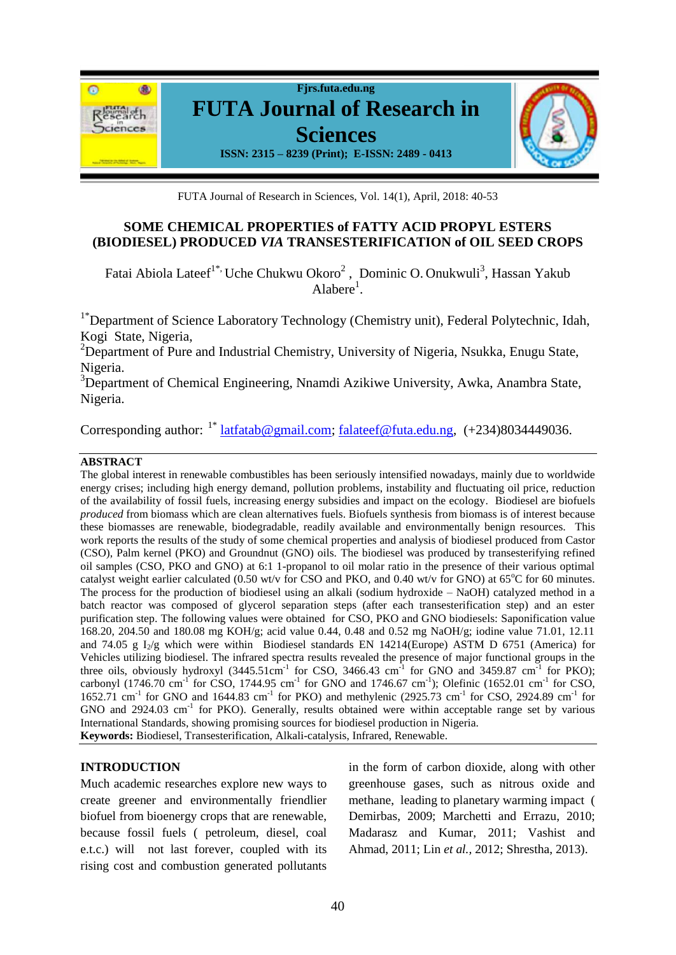

FUTA Journal of Research in Sciences, Vol. 14(1), April, 2018: 40-53

## **SOME CHEMICAL PROPERTIES of FATTY ACID PROPYL ESTERS (BIODIESEL) PRODUCED** *VIA* **TRANSESTERIFICATION of OIL SEED CROPS**

Fatai Abiola Lateef<sup>1\*,</sup> Uche Chukwu Okoro<sup>2</sup>, Dominic O. Onukwuli<sup>3</sup>, Hassan Yakub Alabere<sup>1</sup>.

<sup>1\*</sup>Department of Science Laboratory Technology (Chemistry unit), Federal Polytechnic, Idah, Kogi State, Nigeria,

<sup>2</sup>Department of Pure and Industrial Chemistry, University of Nigeria, Nsukka, Enugu State, Nigeria.

<sup>3</sup>Department of Chemical Engineering, Nnamdi Azikiwe University, Awka, Anambra State, Nigeria.

Corresponding author: <sup>1\*</sup> [latfatab@gmail.com;](mailto:latfatab@gmail.com) [falateef@futa.edu.ng,](mailto:falateef@futa.edu.ng) (+234)8034449036.

### **ABSTRACT**

The global interest in renewable combustibles has been seriously intensified nowadays, mainly due to worldwide energy crises; including high energy demand, pollution problems, instability and fluctuating oil price, reduction of the availability of fossil fuels, increasing energy subsidies and impact on the ecology. Biodiesel are biofuels *produced* from biomass which are clean alternatives fuels. Biofuels synthesis from biomass is of interest because these biomasses are renewable, biodegradable, readily available and environmentally benign resources. This work reports the results of the study of some chemical properties and analysis of biodiesel produced from Castor (CSO), Palm kernel (PKO) and Groundnut (GNO) oils. The biodiesel was produced by transesterifying refined oil samples (CSO, PKO and GNO) at 6:1 1-propanol to oil molar ratio in the presence of their various optimal catalyst weight earlier calculated (0.50 wt/v for CSO and PKO, and 0.40 wt/v for GNO) at  $65^{\circ}$ C for 60 minutes. The process for the production of biodiesel using an alkali (sodium hydroxide – NaOH) catalyzed method in a batch reactor was composed of glycerol separation steps (after each transesterification step) and an ester purification step. The following values were obtained for CSO, PKO and GNO biodiesels: Saponification value 168.20, 204.50 and 180.08 mg KOH/g; acid value 0.44, 0.48 and 0.52 mg NaOH/g; iodine value 71.01, 12.11 and 74.05 g  $I_2/g$  which were within Biodiesel standards EN 14214(Europe) ASTM D 6751 (America) for Vehicles utilizing biodiesel. The infrared spectra results revealed the presence of major functional groups in the three oils, obviously hydroxyl  $(3445.51cm^{-1}$  for CSO,  $3466.43$  cm<sup>-1</sup> for GNO and  $3459.87$  cm<sup>-1</sup> for PKO); carbonyl (1746.70 cm<sup>-1</sup> for CSO, 1744.95 cm<sup>-1</sup> for GNO and 1746.67 cm<sup>-1</sup>); Olefinic (1652.01 cm<sup>-1</sup> for CSO,  $1652.71$  cm<sup>-1</sup> for GNO and  $1644.83$  cm<sup>-1</sup> for PKO) and methylenic (2925.73 cm<sup>-1</sup> for CSO, 2924.89 cm<sup>-1</sup> for  $GNO$  and  $2924.03$  cm<sup>-1</sup> for PKO). Generally, results obtained were within acceptable range set by various International Standards, showing promising sources for biodiesel production in Nigeria. **Keywords:** Biodiesel, Transesterification, Alkali-catalysis, Infrared, Renewable.

### **INTRODUCTION**

Much academic researches explore new ways to create greener and environmentally friendlier biofuel from bioenergy crops that are renewable, because fossil fuels ( petroleum, diesel, coal e.t.c.) will not last forever, coupled with its rising cost and combustion generated pollutants in the form of carbon dioxide, along with other greenhouse gases, such as nitrous oxide and methane, leading to planetary warming impact ( Demirbas, 2009; Marchetti and Errazu, 2010; Madarasz and Kumar, 2011; Vashist and Ahmad, 2011; Lin *et al.,* 2012; Shrestha, 2013).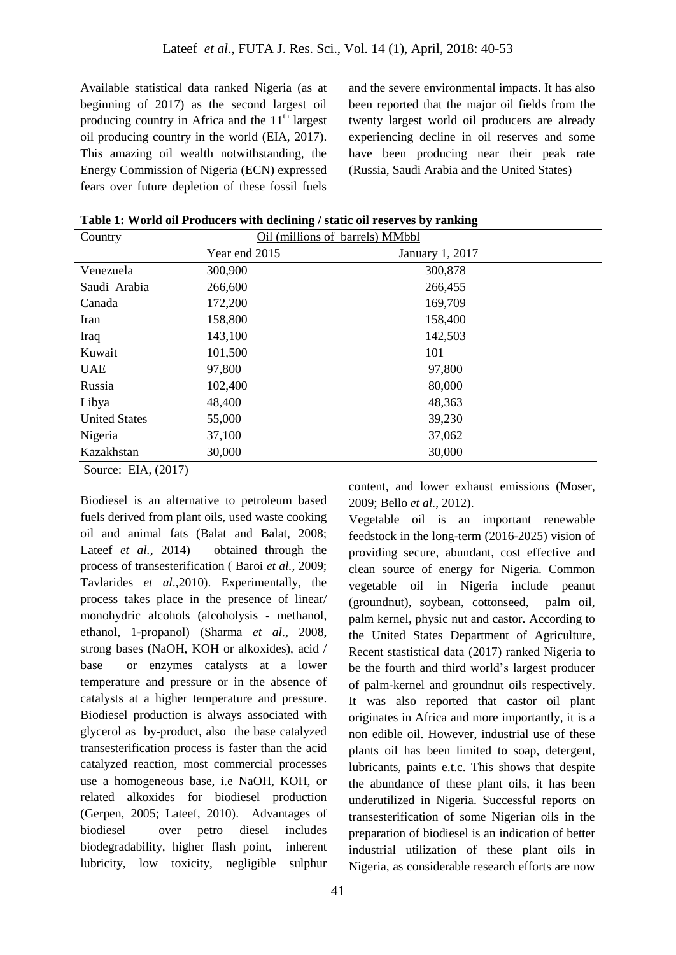Available statistical data ranked Nigeria (as at beginning of 2017) as the second largest oil producing country in Africa and the  $11<sup>th</sup>$  largest oil producing country in the world (EIA, 2017). This amazing oil wealth notwithstanding, the Energy Commission of Nigeria (ECN) expressed fears over future depletion of these fossil fuels

and the severe environmental impacts. It has also been reported that the major oil fields from the twenty largest world oil producers are already experiencing decline in oil reserves and some have been producing near their peak rate (Russia, Saudi Arabia and the United States)

| Table 1: World oil Producers with declining / static oil reserves by ranking |  |
|------------------------------------------------------------------------------|--|
|                                                                              |  |

| Country              | Oil (millions of barrels) MMbbl |                 |  |
|----------------------|---------------------------------|-----------------|--|
|                      | Year end 2015                   | January 1, 2017 |  |
| Venezuela            | 300,900                         | 300,878         |  |
| Saudi Arabia         | 266,600                         | 266,455         |  |
| Canada               | 172,200                         | 169,709         |  |
| Iran                 | 158,800                         | 158,400         |  |
| Iraq                 | 143,100                         | 142,503         |  |
| Kuwait               | 101,500                         | 101             |  |
| <b>UAE</b>           | 97,800                          | 97,800          |  |
| Russia               | 102,400                         | 80,000          |  |
| Libya                | 48,400                          | 48,363          |  |
| <b>United States</b> | 55,000                          | 39,230          |  |
| Nigeria              | 37,100                          | 37,062          |  |
| Kazakhstan           | 30,000                          | 30,000          |  |

Source: EIA, (2017)

Biodiesel is an alternative to petroleum based fuels derived from plant oils, used waste cooking oil and animal fats (Balat and Balat, 2008; Lateef *et al.*, 2014) obtained through the process of transesterification ( Baroi *et al.,* 2009; Tavlarides *et al*.,2010). Experimentally, the process takes place in the presence of linear/ monohydric alcohols (alcoholysis - methanol, ethanol, 1-propanol) (Sharma *et al*., 2008, strong bases (NaOH, KOH or alkoxides), acid / base or enzymes catalysts at a lower temperature and pressure or in the absence of catalysts at a higher temperature and pressure. Biodiesel production is always associated with glycerol as by-product, also the base catalyzed transesterification process is faster than the acid catalyzed reaction, most commercial processes use a homogeneous base, i.e NaOH, KOH, or related alkoxides for biodiesel production (Gerpen, 2005; Lateef, 2010). Advantages of biodiesel over petro diesel includes biodegradability, higher flash point, inherent lubricity, low toxicity, negligible sulphur

content, and lower exhaust emissions (Moser, 2009; Bello *et al.*, 2012). Vegetable oil is an important renewable

feedstock in the long-term (2016-2025) vision of providing secure, abundant, cost effective and clean source of energy for Nigeria. Common vegetable oil in Nigeria include peanut (groundnut), soybean, cottonseed, palm oil, palm kernel, physic nut and castor. According to the United States Department of Agriculture, Recent stastistical data (2017) ranked Nigeria to be the fourth and third world's largest producer of palm-kernel and groundnut oils respectively. It was also reported that castor oil plant originates in Africa and more importantly, it is a non edible oil. However, industrial use of these plants oil has been limited to soap, detergent, lubricants, paints e.t.c. This shows that despite the abundance of these plant oils, it has been underutilized in Nigeria. Successful reports on transesterification of some Nigerian oils in the preparation of biodiesel is an indication of better industrial utilization of these plant oils in Nigeria, as considerable research efforts are now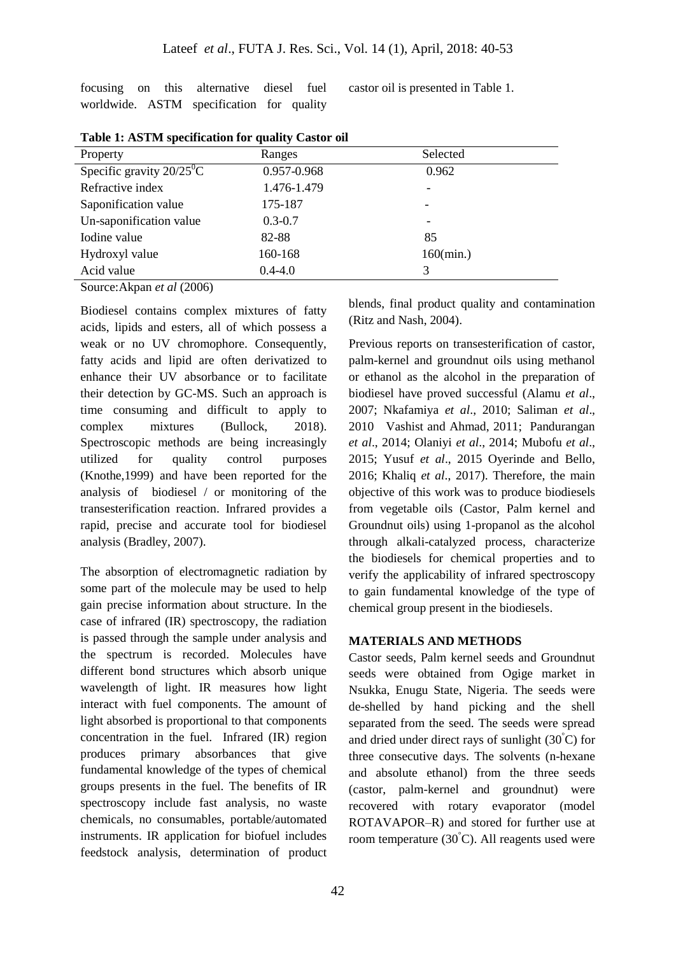focusing on this alternative diesel fuel worldwide. ASTM specification for quality castor oil is presented in Table 1.

| Property                                | Ranges      | Selected     |
|-----------------------------------------|-------------|--------------|
| Specific gravity $20/25$ <sup>o</sup> C | 0.957-0.968 | 0.962        |
| Refractive index                        | 1.476-1.479 |              |
| Saponification value                    | 175-187     |              |
| Un-saponification value                 | $0.3 - 0.7$ | -            |
| Iodine value                            | 82-88       | 85           |
| Hydroxyl value                          | 160-168     | $160$ (min.) |
| Acid value                              | $0.4 - 4.0$ | 3            |

**Table 1: ASTM specification for quality Castor oil**

Source: Akpan *et al* (2006)

Biodiesel contains complex mixtures of fatty acids, lipids and esters, all of which possess a weak or no UV chromophore. Consequently, fatty acids and lipid are often derivatized to enhance their UV absorbance or to facilitate their detection by GC-MS. Such an approach is time consuming and difficult to apply to complex mixtures (Bullock, 2018). Spectroscopic methods are being increasingly utilized for quality control purposes (Knothe,1999) and have been reported for the analysis of biodiesel / or monitoring of the transesterification reaction. Infrared provides a rapid, precise and accurate tool for biodiesel analysis (Bradley, 2007).

The absorption of electromagnetic radiation by some part of the molecule may be used to help gain precise information about structure. In the case of infrared (IR) spectroscopy, the radiation is passed through the sample under analysis and the spectrum is recorded. Molecules have different bond structures which absorb unique wavelength of light. IR measures how light interact with fuel components. The amount of light absorbed is proportional to that components concentration in the fuel. Infrared (IR) region produces primary absorbances that give fundamental knowledge of the types of chemical groups presents in the fuel. The benefits of IR spectroscopy include fast analysis, no waste chemicals, no consumables, portable/automated instruments. IR application for biofuel includes feedstock analysis, determination of product

blends, final product quality and contamination (Ritz and Nash, 2004).

Previous reports on transesterification of castor, palm-kernel and groundnut oils using methanol or ethanol as the alcohol in the preparation of biodiesel have proved successful (Alamu *et al*., 2007; Nkafamiya *et al*., 2010; Saliman *et al*., 2010 Vashist and Ahmad, 2011; Pandurangan *et al*., 2014; Olaniyi *et al*., 2014; Mubofu *et al*., 2015; Yusuf *et al*., 2015 Oyerinde and Bello, 2016; Khaliq *et al*., 2017). Therefore, the main objective of this work was to produce biodiesels from vegetable oils (Castor, Palm kernel and Groundnut oils) using 1-propanol as the alcohol through alkali-catalyzed process, characterize the biodiesels for chemical properties and to verify the applicability of infrared spectroscopy to gain fundamental knowledge of the type of chemical group present in the biodiesels.

## **MATERIALS AND METHODS**

Castor seeds, Palm kernel seeds and Groundnut seeds were obtained from Ogige market in Nsukka, Enugu State, Nigeria. The seeds were de-shelled by hand picking and the shell separated from the seed. The seeds were spread and dried under direct rays of sunlight  $(30^{\circ}C)$  for three consecutive days. The solvents (n-hexane and absolute ethanol) from the three seeds (castor, palm-kernel and groundnut) were recovered with rotary evaporator (model ROTAVAPOR–R) and stored for further use at room temperature  $(30^{\circ}C)$ . All reagents used were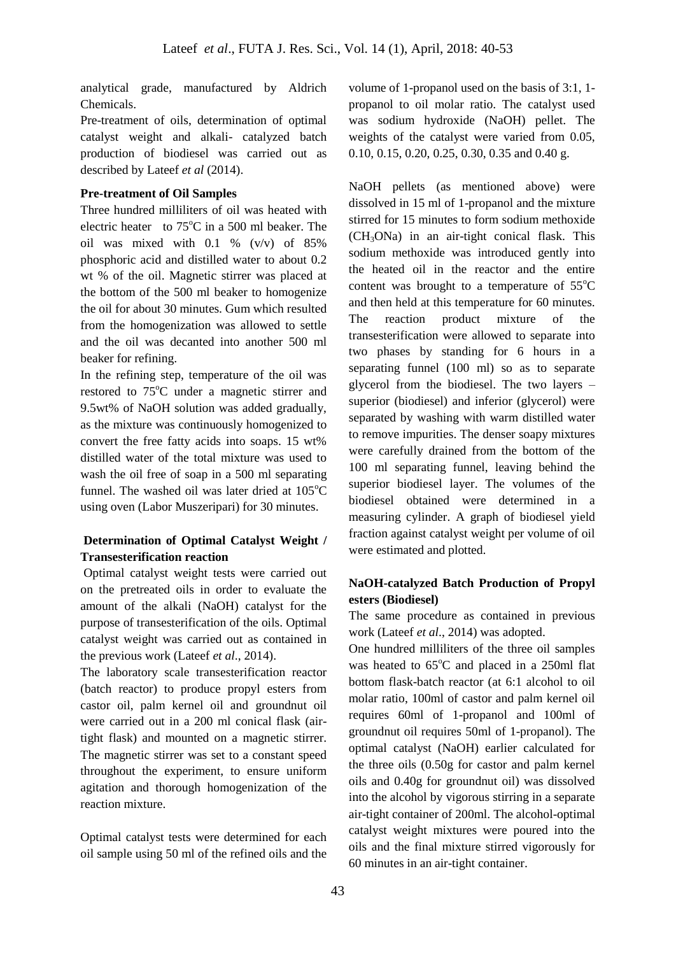analytical grade, manufactured by Aldrich Chemicals.

Pre-treatment of oils, determination of optimal catalyst weight and alkali- catalyzed batch production of biodiesel was carried out as described by Lateef *et al* (2014).

## **Pre-treatment of Oil Samples**

Three hundred milliliters of oil was heated with electric heater to  $75^{\circ}$ C in a 500 ml beaker. The oil was mixed with 0.1 % (v/v) of 85% phosphoric acid and distilled water to about 0.2 wt % of the oil. Magnetic stirrer was placed at the bottom of the 500 ml beaker to homogenize the oil for about 30 minutes. Gum which resulted from the homogenization was allowed to settle and the oil was decanted into another 500 ml beaker for refining.

In the refining step, temperature of the oil was restored to 75<sup>o</sup>C under a magnetic stirrer and 9.5wt% of NaOH solution was added gradually, as the mixture was continuously homogenized to convert the free fatty acids into soaps. 15 wt% distilled water of the total mixture was used to wash the oil free of soap in a 500 ml separating funnel. The washed oil was later dried at  $105^{\circ}$ C using oven (Labor Muszeripari) for 30 minutes.

## **Determination of Optimal Catalyst Weight / Transesterification reaction**

Optimal catalyst weight tests were carried out on the pretreated oils in order to evaluate the amount of the alkali (NaOH) catalyst for the purpose of transesterification of the oils. Optimal catalyst weight was carried out as contained in the previous work (Lateef *et al*., 2014).

The laboratory scale transesterification reactor (batch reactor) to produce propyl esters from castor oil, palm kernel oil and groundnut oil were carried out in a 200 ml conical flask (airtight flask) and mounted on a magnetic stirrer. The magnetic stirrer was set to a constant speed throughout the experiment, to ensure uniform agitation and thorough homogenization of the reaction mixture.

Optimal catalyst tests were determined for each oil sample using 50 ml of the refined oils and the

volume of 1-propanol used on the basis of 3:1, 1 propanol to oil molar ratio. The catalyst used was sodium hydroxide (NaOH) pellet. The weights of the catalyst were varied from 0.05, 0.10, 0.15, 0.20, 0.25, 0.30, 0.35 and 0.40 g.

NaOH pellets (as mentioned above) were dissolved in 15 ml of 1-propanol and the mixture stirred for 15 minutes to form sodium methoxide  $(CH<sub>3</sub>ONa)$  in an air-tight conical flask. This sodium methoxide was introduced gently into the heated oil in the reactor and the entire content was brought to a temperature of  $55^{\circ}$ C and then held at this temperature for 60 minutes. The reaction product mixture of the transesterification were allowed to separate into two phases by standing for 6 hours in a separating funnel (100 ml) so as to separate glycerol from the biodiesel. The two layers – superior (biodiesel) and inferior (glycerol) were separated by washing with warm distilled water to remove impurities. The denser soapy mixtures were carefully drained from the bottom of the 100 ml separating funnel, leaving behind the superior biodiesel layer. The volumes of the biodiesel obtained were determined in a measuring cylinder. A graph of biodiesel yield fraction against catalyst weight per volume of oil were estimated and plotted.

# **NaOH-catalyzed Batch Production of Propyl esters (Biodiesel)**

The same procedure as contained in previous work (Lateef *et al*., 2014) was adopted.

One hundred milliliters of the three oil samples was heated to  $65^{\circ}$ C and placed in a 250ml flat bottom flask-batch reactor (at 6:1 alcohol to oil molar ratio, 100ml of castor and palm kernel oil requires 60ml of 1-propanol and 100ml of groundnut oil requires 50ml of 1-propanol). The optimal catalyst (NaOH) earlier calculated for the three oils (0.50g for castor and palm kernel oils and 0.40g for groundnut oil) was dissolved into the alcohol by vigorous stirring in a separate air-tight container of 200ml. The alcohol-optimal catalyst weight mixtures were poured into the oils and the final mixture stirred vigorously for 60 minutes in an air-tight container.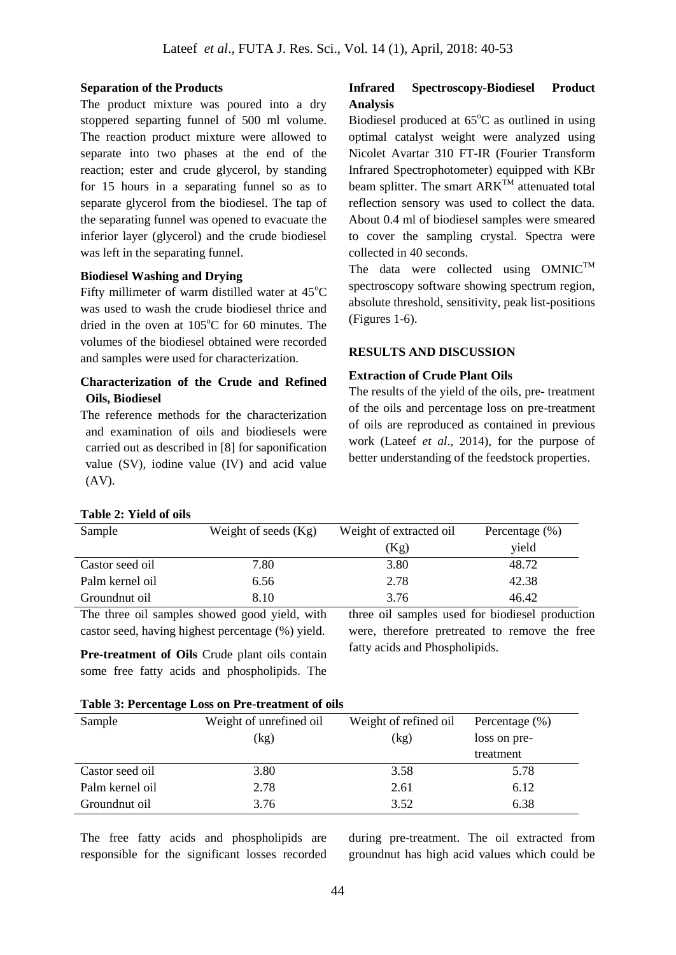#### **Separation of the Products**

The product mixture was poured into a dry stoppered separting funnel of 500 ml volume. The reaction product mixture were allowed to separate into two phases at the end of the reaction; ester and crude glycerol, by standing for 15 hours in a separating funnel so as to separate glycerol from the biodiesel. The tap of the separating funnel was opened to evacuate the inferior layer (glycerol) and the crude biodiesel was left in the separating funnel.

### **Biodiesel Washing and Drying**

Fifty millimeter of warm distilled water at  $45^{\circ}$ C was used to wash the crude biodiesel thrice and dried in the oven at  $105^{\circ}$ C for 60 minutes. The volumes of the biodiesel obtained were recorded and samples were used for characterization.

## **Characterization of the Crude and Refined Oils, Biodiesel**

The reference methods for the characterization and examination of oils and biodiesels were carried out as described in [8] for saponification value (SV), iodine value (IV) and acid value (AV).

#### **Table 2: Yield of oils**

## **Infrared Spectroscopy-Biodiesel Product Analysis**

Biodiesel produced at  $65^{\circ}$ C as outlined in using optimal catalyst weight were analyzed using Nicolet Avartar 310 FT-IR (Fourier Transform Infrared Spectrophotometer) equipped with KBr beam splitter. The smart  $ARK^{TM}$  attenuated total reflection sensory was used to collect the data. About 0.4 ml of biodiesel samples were smeared to cover the sampling crystal. Spectra were collected in 40 seconds.

The data were collected using  $OMNIC^{TM}$ spectroscopy software showing spectrum region, absolute threshold, sensitivity, peak list-positions (Figures 1-6).

#### **RESULTS AND DISCUSSION**

#### **Extraction of Crude Plant Oils**

The results of the yield of the oils, pre- treatment of the oils and percentage loss on pre-treatment of oils are reproduced as contained in previous work (Lateef *et al*., 2014), for the purpose of better understanding of the feedstock properties.

| Sample          | Weight of seeds $(Kg)$ | Weight of extracted oil<br>(Kg) | Percentage $(\%)$<br>yield |
|-----------------|------------------------|---------------------------------|----------------------------|
|                 |                        |                                 |                            |
| Castor seed oil | 7.80                   | 3.80                            | 48.72                      |
| Palm kernel oil | 6.56                   | 2.78                            | 42.38                      |
| Groundnut oil   | 8.10                   | 3.76                            | 46.42                      |

The three oil samples showed good yield, with castor seed, having highest percentage (%) yield.

**Pre-treatment of Oils** Crude plant oils contain some free fatty acids and phospholipids. The three oil samples used for biodiesel production were, therefore pretreated to remove the free fatty acids and Phospholipids.

#### **Table 3: Percentage Loss on Pre-treatment of oils**

| Sample          | Weight of unrefined oil | Weight of refined oil<br>Percentage $(\%)$ |              |
|-----------------|-------------------------|--------------------------------------------|--------------|
|                 | (kg)                    | (kg)                                       | loss on pre- |
|                 |                         |                                            | treatment    |
| Castor seed oil | 3.80                    | 3.58                                       | 5.78         |
| Palm kernel oil | 2.78                    | 2.61                                       | 6.12         |
| Groundnut oil   | 3.76                    | 3.52                                       | 6.38         |

The free fatty acids and phospholipids are responsible for the significant losses recorded during pre-treatment. The oil extracted from groundnut has high acid values which could be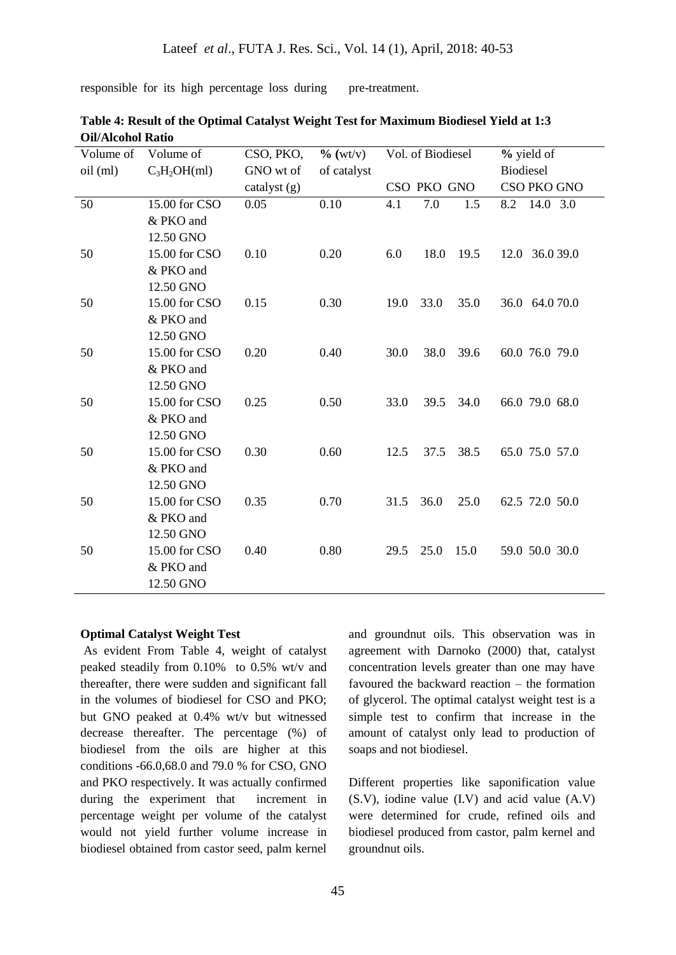responsible for its high percentage loss during pre-treatment.

| $C_3H_2OH(ml)$<br>GNO wt of<br>Biodiesel<br>oil (ml)<br>of catalyst<br>CSO PKO GNO<br>CSO PKO GNO<br>catalyst (g)<br>50<br>15.00 for CSO<br>0.10<br>0.05<br>4.1<br>7.0<br>1.5<br>8.2<br>14.0 3.0<br>& PKO and<br>12.50 GNO<br>15.00 for CSO<br>0.20<br>50<br>0.10<br>6.0<br>18.0<br>19.5<br>12.0 36.0 39.0 |  |
|------------------------------------------------------------------------------------------------------------------------------------------------------------------------------------------------------------------------------------------------------------------------------------------------------------|--|
|                                                                                                                                                                                                                                                                                                            |  |
|                                                                                                                                                                                                                                                                                                            |  |
|                                                                                                                                                                                                                                                                                                            |  |
|                                                                                                                                                                                                                                                                                                            |  |
|                                                                                                                                                                                                                                                                                                            |  |
|                                                                                                                                                                                                                                                                                                            |  |
| & PKO and                                                                                                                                                                                                                                                                                                  |  |
| 12.50 GNO                                                                                                                                                                                                                                                                                                  |  |
| 15.00 for CSO<br>0.30<br>50<br>0.15<br>19.0<br>33.0<br>35.0<br>36.0 64.0 70.0                                                                                                                                                                                                                              |  |
| & PKO and                                                                                                                                                                                                                                                                                                  |  |
| 12.50 GNO                                                                                                                                                                                                                                                                                                  |  |
| 15.00 for CSO<br>0.20<br>60.0 76.0 79.0<br>50<br>0.40<br>30.0<br>38.0<br>39.6                                                                                                                                                                                                                              |  |
| & PKO and                                                                                                                                                                                                                                                                                                  |  |
| 12.50 GNO                                                                                                                                                                                                                                                                                                  |  |
| 15.00 for CSO<br>0.25<br>0.50<br>50<br>33.0<br>39.5<br>34.0<br>66.0 79.0 68.0                                                                                                                                                                                                                              |  |
| & PKO and                                                                                                                                                                                                                                                                                                  |  |
| 12.50 GNO                                                                                                                                                                                                                                                                                                  |  |
| 15.00 for CSO<br>0.30<br>0.60<br>38.5<br>50<br>12.5<br>37.5<br>65.0 75.0 57.0                                                                                                                                                                                                                              |  |
| & PKO and                                                                                                                                                                                                                                                                                                  |  |
| 12.50 GNO                                                                                                                                                                                                                                                                                                  |  |
| 50<br>15.00 for CSO<br>0.70<br>36.0<br>25.0<br>0.35<br>31.5<br>62.5 72.0 50.0                                                                                                                                                                                                                              |  |
| & PKO and                                                                                                                                                                                                                                                                                                  |  |
| 12.50 GNO                                                                                                                                                                                                                                                                                                  |  |
| 0.80<br>50<br>15.00 for CSO<br>0.40<br>25.0<br>15.0<br>59.0 50.0 30.0<br>29.5                                                                                                                                                                                                                              |  |
| & PKO and                                                                                                                                                                                                                                                                                                  |  |
| 12.50 GNO                                                                                                                                                                                                                                                                                                  |  |

**Table 4: Result of the Optimal Catalyst Weight Test for Maximum Biodiesel Yield at 1:3 Oil/Alcohol Ratio**

#### **Optimal Catalyst Weight Test**

As evident From Table 4, weight of catalyst peaked steadily from 0.10% to 0.5% wt/v and thereafter, there were sudden and significant fall in the volumes of biodiesel for CSO and PKO; but GNO peaked at 0.4% wt/v but witnessed decrease thereafter. The percentage (%) of biodiesel from the oils are higher at this conditions -66.0,68.0 and 79.0 % for CSO, GNO and PKO respectively. It was actually confirmed during the experiment that increment in percentage weight per volume of the catalyst would not yield further volume increase in biodiesel obtained from castor seed, palm kernel

and groundnut oils. This observation was in agreement with Darnoko (2000) that, catalyst concentration levels greater than one may have favoured the backward reaction – the formation of glycerol. The optimal catalyst weight test is a simple test to confirm that increase in the amount of catalyst only lead to production of soaps and not biodiesel.

Different properties like saponification value (S.V), iodine value (I.V) and acid value (A.V) were determined for crude, refined oils and biodiesel produced from castor, palm kernel and groundnut oils.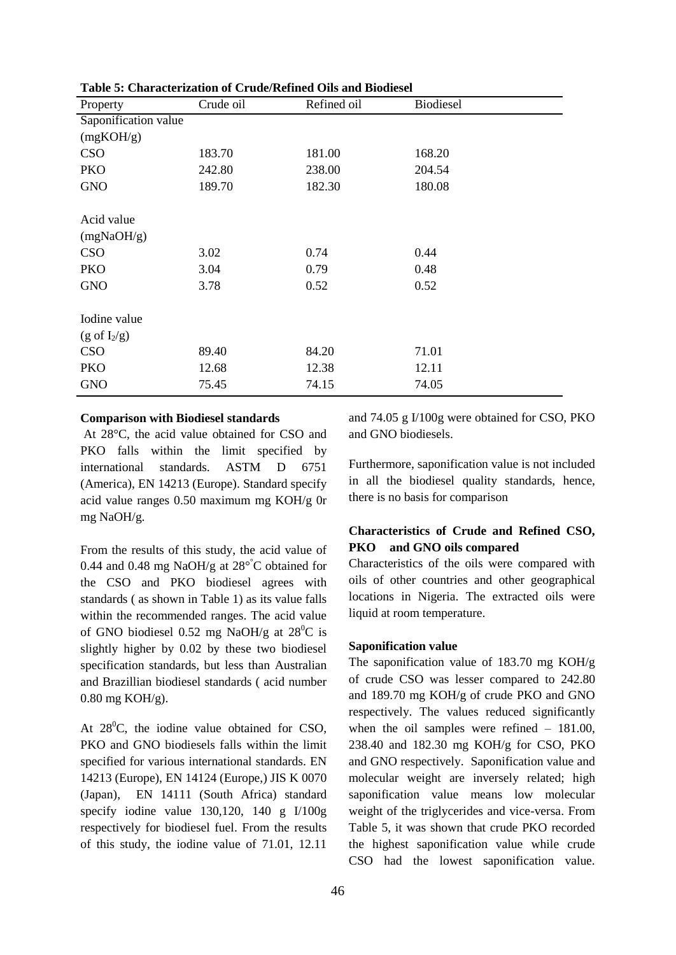| Table 9. Characterization of Cruuc/Kenned Ons and Diodicsel |           |             |           |  |  |  |
|-------------------------------------------------------------|-----------|-------------|-----------|--|--|--|
| Property                                                    | Crude oil | Refined oil | Biodiesel |  |  |  |
| Saponification value                                        |           |             |           |  |  |  |
| (mgKOH/g)                                                   |           |             |           |  |  |  |
| <b>CSO</b>                                                  | 183.70    | 181.00      | 168.20    |  |  |  |
| PKO                                                         | 242.80    | 238.00      | 204.54    |  |  |  |
| <b>GNO</b>                                                  | 189.70    | 182.30      | 180.08    |  |  |  |
|                                                             |           |             |           |  |  |  |
| Acid value                                                  |           |             |           |  |  |  |
| (mgNaOH/g)                                                  |           |             |           |  |  |  |
| <b>CSO</b>                                                  | 3.02      | 0.74        | 0.44      |  |  |  |
| PKO                                                         | 3.04      | 0.79        | 0.48      |  |  |  |
| <b>GNO</b>                                                  | 3.78      | 0.52        | 0.52      |  |  |  |
|                                                             |           |             |           |  |  |  |
| Iodine value                                                |           |             |           |  |  |  |
| $(g \text{ of } I_2/g)$                                     |           |             |           |  |  |  |
| <b>CSO</b>                                                  | 89.40     | 84.20       | 71.01     |  |  |  |
| PKO                                                         | 12.68     | 12.38       | 12.11     |  |  |  |
| <b>GNO</b>                                                  | 75.45     | 74.15       | 74.05     |  |  |  |

#### **Table 5: Characterization of Crude/Refined Oils and Biodiesel**

#### **Comparison with Biodiesel standards**

At 28°C, the acid value obtained for CSO and PKO falls within the limit specified by international standards. ASTM D 6751 (America), EN 14213 (Europe). Standard specify acid value ranges 0.50 maximum mg KOH/g 0r mg NaOH/g.

From the results of this study, the acid value of 0.44 and 0.48 mg NaOH/g at  $28^{\circ}$ °C obtained for the CSO and PKO biodiesel agrees with standards ( as shown in Table 1) as its value falls within the recommended ranges. The acid value of GNO biodiesel 0.52 mg NaOH/g at  $28^{\circ}$ C is slightly higher by 0.02 by these two biodiesel specification standards, but less than Australian and Brazillian biodiesel standards ( acid number 0.80 mg KOH/g).

At  $28^{\circ}$ C, the iodine value obtained for CSO, PKO and GNO biodiesels falls within the limit specified for various international standards. EN 14213 (Europe), EN 14124 (Europe,) JIS K 0070 (Japan), EN 14111 (South Africa) standard specify iodine value 130,120, 140 g I/100g respectively for biodiesel fuel. From the results of this study, the iodine value of 71.01, 12.11

and 74.05 g I/100g were obtained for CSO, PKO and GNO biodiesels.

Furthermore, saponification value is not included in all the biodiesel quality standards, hence, there is no basis for comparison

## **Characteristics of Crude and Refined CSO, PKO and GNO oils compared**

Characteristics of the oils were compared with oils of other countries and other geographical locations in Nigeria. The extracted oils were liquid at room temperature.

#### **Saponification value**

The saponification value of 183.70 mg KOH/g of crude CSO was lesser compared to 242.80 and 189.70 mg KOH/g of crude PKO and GNO respectively. The values reduced significantly when the oil samples were refined – 181.00, 238.40 and 182.30 mg KOH/g for CSO, PKO and GNO respectively. Saponification value and molecular weight are inversely related; high saponification value means low molecular weight of the triglycerides and vice-versa. From Table 5, it was shown that crude PKO recorded the highest saponification value while crude CSO had the lowest saponification value.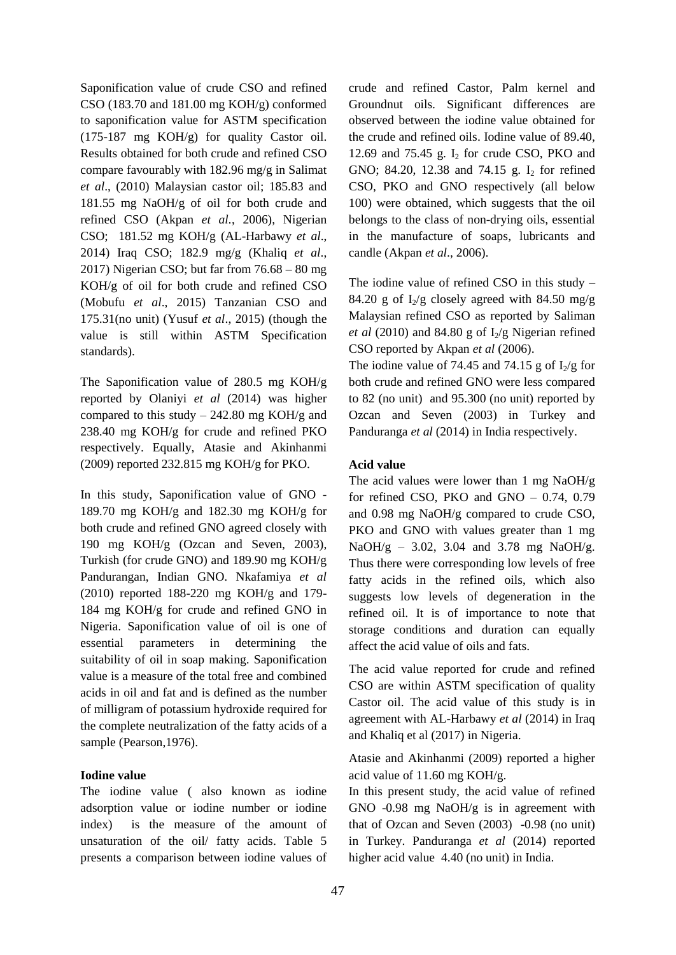Saponification value of crude CSO and refined CSO (183.70 and 181.00 mg KOH/g) conformed to saponification value for ASTM specification (175-187 mg KOH/g) for quality Castor oil. Results obtained for both crude and refined CSO compare favourably with 182.96 mg/g in Salimat *et al*., (2010) Malaysian castor oil; 185.83 and 181.55 mg NaOH/g of oil for both crude and refined CSO (Akpan *et al.*, 2006), Nigerian CSO; 181.52 mg KOH/g (AL-Harbawy *et al*., 2014) Iraq CSO; 182.9 mg/g (Khaliq *et al*., 2017) Nigerian CSO; but far from 76.68 – 80 mg KOH/g of oil for both crude and refined CSO (Mobufu *et al*., 2015) Tanzanian CSO and 175.31(no unit) (Yusuf *et al*., 2015) (though the value is still within ASTM Specification standards).

The Saponification value of  $280.5$  mg KOH/g reported by Olaniyi *et al* (2014) was higher compared to this study  $-242.80$  mg KOH/g and 238.40 mg KOH/g for crude and refined PKO respectively. Equally, Atasie and Akinhanmi (2009) reported 232.815 mg KOH/g for PKO.

In this study, Saponification value of GNO - 189.70 mg KOH/g and 182.30 mg KOH/g for both crude and refined GNO agreed closely with 190 mg KOH/g (Ozcan and Seven, 2003), Turkish (for crude GNO) and 189.90 mg KOH/g Pandurangan, Indian GNO. Nkafamiya *et al* (2010) reported 188-220 mg KOH/g and 179- 184 mg KOH/g for crude and refined GNO in Nigeria. Saponification value of oil is one of essential parameters in determining the suitability of oil in soap making. Saponification value is a measure of the total free and combined acids in oil and fat and is defined as the number of milligram of potassium hydroxide required for the complete neutralization of the fatty acids of a sample (Pearson,1976).

## **Iodine value**

The iodine value ( also known as iodine adsorption value or iodine number or iodine index) is the measure of the amount of unsaturation of the oil/ fatty acids. Table 5 presents a comparison between iodine values of crude and refined Castor, Palm kernel and Groundnut oils. Significant differences are observed between the iodine value obtained for the crude and refined oils. Iodine value of 89.40, 12.69 and 75.45 g.  $I_2$  for crude CSO, PKO and GNO; 84.20, 12.38 and 74.15 g.  $I_2$  for refined CSO, PKO and GNO respectively (all below 100) were obtained, which suggests that the oil belongs to the class of non-drying oils, essential in the manufacture of soaps, lubricants and candle (Akpan *et al*., 2006).

The iodine value of refined CSO in this study – 84.20 g of  $I_2/g$  closely agreed with 84.50 mg/g Malaysian refined CSO as reported by Saliman *et al* (2010) and 84.80 g of  $I_2/g$  Nigerian refined CSO reported by Akpan *et al* (2006).

The iodine value of 74.45 and 74.15 g of  $I_2/g$  for both crude and refined GNO were less compared to 82 (no unit) and 95.300 (no unit) reported by Ozcan and Seven (2003) in Turkey and Panduranga *et al* (2014) in India respectively.

### **Acid value**

The acid values were lower than 1 mg NaOH/g for refined CSO, PKO and GNO  $-$  0.74, 0.79 and 0.98 mg NaOH/g compared to crude CSO, PKO and GNO with values greater than 1 mg NaOH/g – 3.02, 3.04 and 3.78 mg NaOH/g. Thus there were corresponding low levels of free fatty acids in the refined oils, which also suggests low levels of degeneration in the refined oil. It is of importance to note that storage conditions and duration can equally affect the acid value of oils and fats.

The acid value reported for crude and refined CSO are within ASTM specification of quality Castor oil. The acid value of this study is in agreement with AL-Harbawy *et al* (2014) in Iraq and Khaliq et al (2017) in Nigeria.

Atasie and Akinhanmi (2009) reported a higher acid value of 11.60 mg KOH/g.

In this present study, the acid value of refined GNO -0.98 mg NaOH/g is in agreement with that of Ozcan and Seven (2003) -0.98 (no unit) in Turkey. Panduranga *et al* (2014) reported higher acid value 4.40 (no unit) in India.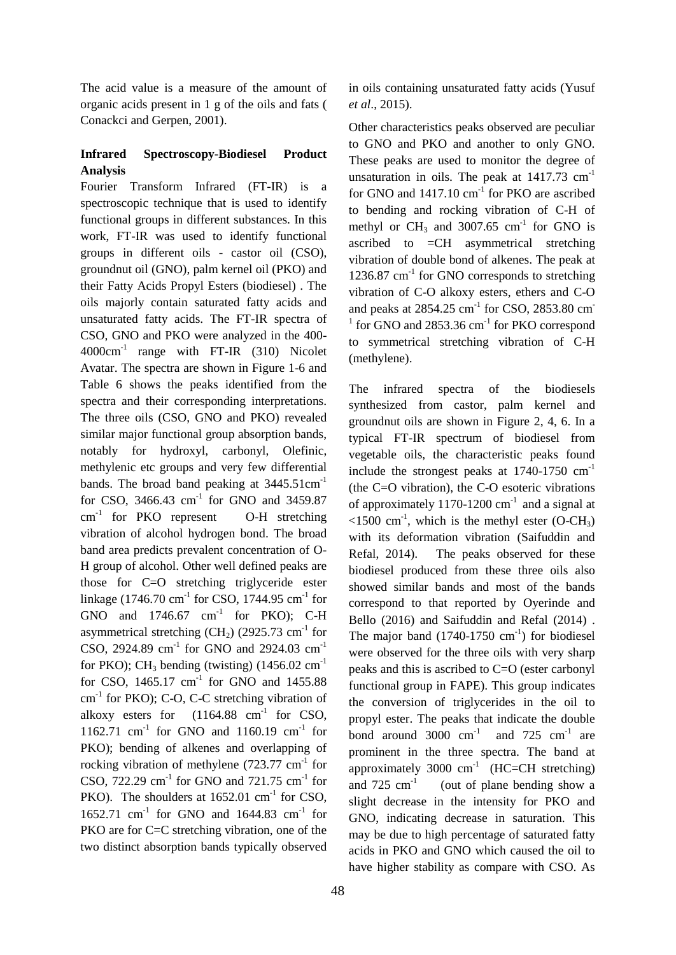The acid value is a measure of the amount of organic acids present in 1 g of the oils and fats ( Conackci and Gerpen, 2001).

# **Infrared Spectroscopy-Biodiesel Product Analysis**

Fourier Transform Infrared (FT-IR) is a spectroscopic technique that is used to identify functional groups in different substances. In this work, FT-IR was used to identify functional groups in different oils - castor oil (CSO), groundnut oil (GNO), palm kernel oil (PKO) and their Fatty Acids Propyl Esters (biodiesel) . The oils majorly contain saturated fatty acids and unsaturated fatty acids. The FT-IR spectra of CSO, GNO and PKO were analyzed in the 400- 4000cm-1 range with FT-IR (310) Nicolet Avatar. The spectra are shown in Figure 1-6 and Table 6 shows the peaks identified from the spectra and their corresponding interpretations. The three oils (CSO, GNO and PKO) revealed similar major functional group absorption bands, notably for hydroxyl, carbonyl, Olefinic, methylenic etc groups and very few differential bands. The broad band peaking at  $3445.51 \text{cm}^{-1}$ for CSO, 3466.43  $cm^{-1}$  for GNO and 3459.87 cm<sup>-1</sup> for PKO represent O-H stretching vibration of alcohol hydrogen bond. The broad band area predicts prevalent concentration of O-H group of alcohol. Other well defined peaks are those for C=O stretching triglyceride ester linkage (1746.70 cm<sup>-1</sup> for CSO, 1744.95 cm<sup>-1</sup> for GNO and  $1746.67$  cm<sup>-1</sup> for PKO); C-H asymmetrical stretching  $(CH<sub>2</sub>)$  (2925.73 cm<sup>-1</sup> for CSO, 2924.89  $\text{cm}^{-1}$  for GNO and 2924.03  $\text{cm}^{-1}$ for PKO); CH<sub>3</sub> bending (twisting)  $(1456.02 \text{ cm}^{-1})$ for CSO,  $1465.17$  cm<sup>-1</sup> for GNO and  $1455.88$ cm<sup>-1</sup> for PKO); C-O, C-C stretching vibration of alkoxy esters for  $(1164.88 \text{ cm}^{-1} \text{ for } CSO,$ 1162.71 cm<sup>-1</sup> for GNO and 1160.19 cm<sup>-1</sup> for PKO); bending of alkenes and overlapping of rocking vibration of methylene  $(723.77 \text{ cm}^{-1} \text{ for }$ CSO, 722.29  $\text{cm}^{-1}$  for GNO and 721.75  $\text{cm}^{-1}$  for PKO). The shoulders at  $1652.01 \text{ cm}^{-1}$  for CSO, 1652.71 cm<sup>-1</sup> for GNO and 1644.83 cm<sup>-1</sup> for PKO are for C=C stretching vibration, one of the two distinct absorption bands typically observed in oils containing unsaturated fatty acids (Yusuf *et al*., 2015).

Other characteristics peaks observed are peculiar to GNO and PKO and another to only GNO. These peaks are used to monitor the degree of unsaturation in oils. The peak at  $1417.73$  cm<sup>-1</sup> for GNO and  $1417.10 \text{ cm}^{-1}$  for PKO are ascribed to bending and rocking vibration of C-H of methyl or  $CH_3$  and 3007.65  $cm^{-1}$  for GNO is ascribed to =CH asymmetrical stretching vibration of double bond of alkenes. The peak at 1236.87 cm<sup>-1</sup> for GNO corresponds to stretching vibration of C-O alkoxy esters, ethers and C-O and peaks at 2854.25 cm<sup>-1</sup> for CSO, 2853.80 cm<sup>-1</sup> <sup>1</sup> for GNO and 2853.36 cm<sup>-1</sup> for PKO correspond to symmetrical stretching vibration of C-H (methylene).

The infrared spectra of the biodiesels synthesized from castor, palm kernel and groundnut oils are shown in Figure 2, 4, 6. In a typical FT-IR spectrum of biodiesel from vegetable oils, the characteristic peaks found include the strongest peaks at  $1740-1750$  cm<sup>-1</sup> (the C=O vibration), the C-O esoteric vibrations of approximately 1170-1200  $cm^{-1}$  and a signal at  $\le$ 1500 cm<sup>-1</sup>, which is the methyl ester (O-CH<sub>3</sub>) with its deformation vibration (Saifuddin and Refal, 2014). The peaks observed for these biodiesel produced from these three oils also showed similar bands and most of the bands correspond to that reported by Oyerinde and Bello (2016) and Saifuddin and Refal (2014) . The major band  $(1740-1750 \text{ cm}^{-1})$  for biodiesel were observed for the three oils with very sharp peaks and this is ascribed to C=O (ester carbonyl functional group in FAPE). This group indicates the conversion of triglycerides in the oil to propyl ester. The peaks that indicate the double bond around  $3000 \text{ cm}^{-1}$  and  $725 \text{ cm}^{-1}$  are prominent in the three spectra. The band at approximately 3000  $cm^{-1}$  (HC=CH stretching) and  $725 \text{ cm}^{-1}$  (out of plane bending show a slight decrease in the intensity for PKO and GNO, indicating decrease in saturation. This may be due to high percentage of saturated fatty acids in PKO and GNO which caused the oil to have higher stability as compare with CSO. As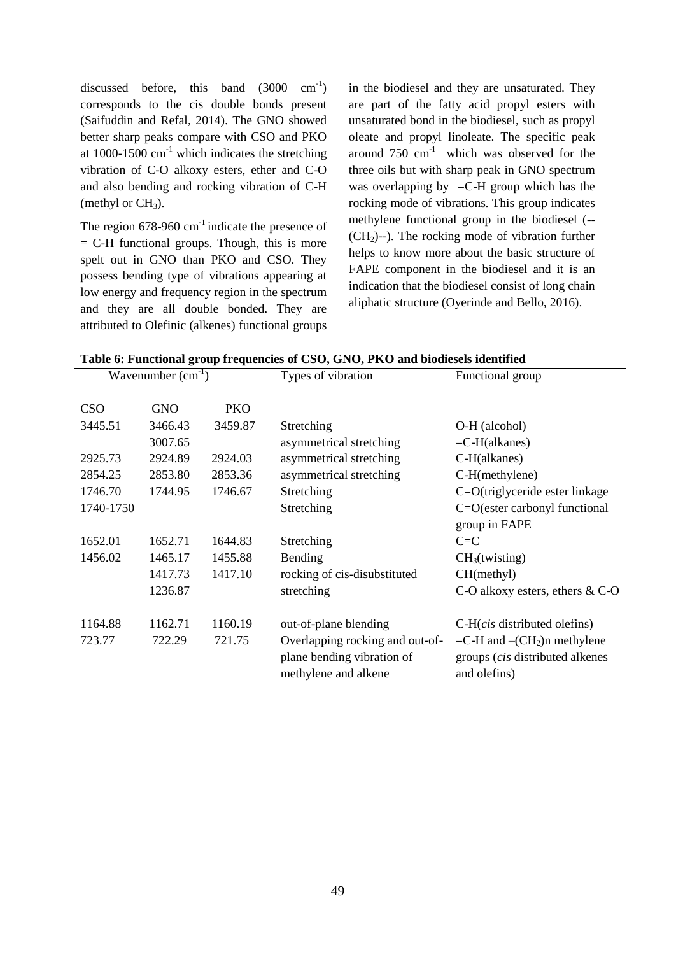discussed before, this band  $(3000 \text{ cm}^{-1})$ corresponds to the cis double bonds present (Saifuddin and Refal, 2014). The GNO showed better sharp peaks compare with CSO and PKO at  $1000-1500$  cm<sup>-1</sup> which indicates the stretching vibration of C-O alkoxy esters, ether and C-O and also bending and rocking vibration of C-H (methyl or  $CH<sub>3</sub>$ ).

The region  $678-960$  cm<sup>-1</sup> indicate the presence of  $=$  C-H functional groups. Though, this is more spelt out in GNO than PKO and CSO. They possess bending type of vibrations appearing at low energy and frequency region in the spectrum and they are all double bonded. They are attributed to Olefinic (alkenes) functional groups in the biodiesel and they are unsaturated. They are part of the fatty acid propyl esters with unsaturated bond in the biodiesel, such as propyl oleate and propyl linoleate. The specific peak around  $750 \text{ cm}^{-1}$  which was observed for the three oils but with sharp peak in GNO spectrum was overlapping by  $=$ C-H group which has the rocking mode of vibrations. This group indicates methylene functional group in the biodiesel (--  $(CH<sub>2</sub>)$ --). The rocking mode of vibration further helps to know more about the basic structure of FAPE component in the biodiesel and it is an indication that the biodiesel consist of long chain aliphatic structure (Oyerinde and Bello, 2016).

|  | Table 6: Functional group frequencies of CSO, GNO, PKO and biodiesels identified |  |  |  |
|--|----------------------------------------------------------------------------------|--|--|--|
|  |                                                                                  |  |  |  |

| Wavenumber $(cm^{-1})$ |            |            | Types of vibration              | Functional group                        |  |
|------------------------|------------|------------|---------------------------------|-----------------------------------------|--|
| <b>CSO</b>             | <b>GNO</b> | <b>PKO</b> |                                 |                                         |  |
| 3445.51                | 3466.43    | 3459.87    | Stretching                      | O-H (alcohol)                           |  |
|                        | 3007.65    |            | asymmetrical stretching         | $=$ C-H(alkanes)                        |  |
| 2925.73                | 2924.89    | 2924.03    | asymmetrical stretching         | C-H(alkanes)                            |  |
| 2854.25                | 2853.80    | 2853.36    | asymmetrical stretching         | $C-H(methylene)$                        |  |
| 1746.70                | 1744.95    | 1746.67    | Stretching                      | C=O(triglyceride ester linkage          |  |
| 1740-1750              |            |            | Stretching                      | $C=O$ (ester carbonyl functional        |  |
|                        |            |            |                                 | group in FAPE                           |  |
| 1652.01                | 1652.71    | 1644.83    | Stretching                      | $C = C$                                 |  |
| 1456.02                | 1465.17    | 1455.88    | Bending                         | CH <sub>3</sub> (twisting)              |  |
|                        | 1417.73    | 1417.10    | rocking of cis-disubstituted    | CH(methyl)                              |  |
|                        | 1236.87    |            | stretching                      | C-O alkoxy esters, ethers $& C-O$       |  |
| 1164.88                | 1162.71    | 1160.19    | out-of-plane blending           | $C-H(cis$ distributed olefins)          |  |
| 723.77                 | 722.29     | 721.75     | Overlapping rocking and out-of- | $=$ C-H and $-(CH2)$ n methylene        |  |
|                        |            |            | plane bending vibration of      | groups ( <i>cis</i> distributed alkenes |  |
|                        |            |            | methylene and alkene            | and olefins)                            |  |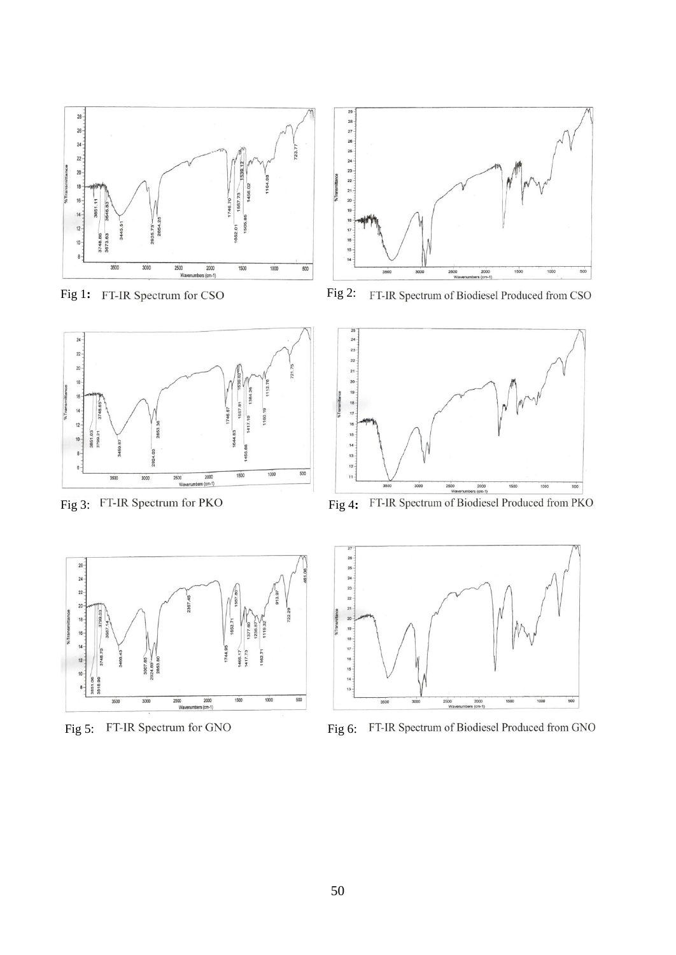

Fig 1: FT-IR Spectrum for CSO Fig 2:



FT-IR Spectrum of Biodiesel Produced from CSO



Fig 3: FT-IR Spectrum for PKO Fig 4:







Fig 5: FT-IR Spectrum for GNO<br>Fig 6: FT-IR Spectrum of Biodiesel Produced from GNO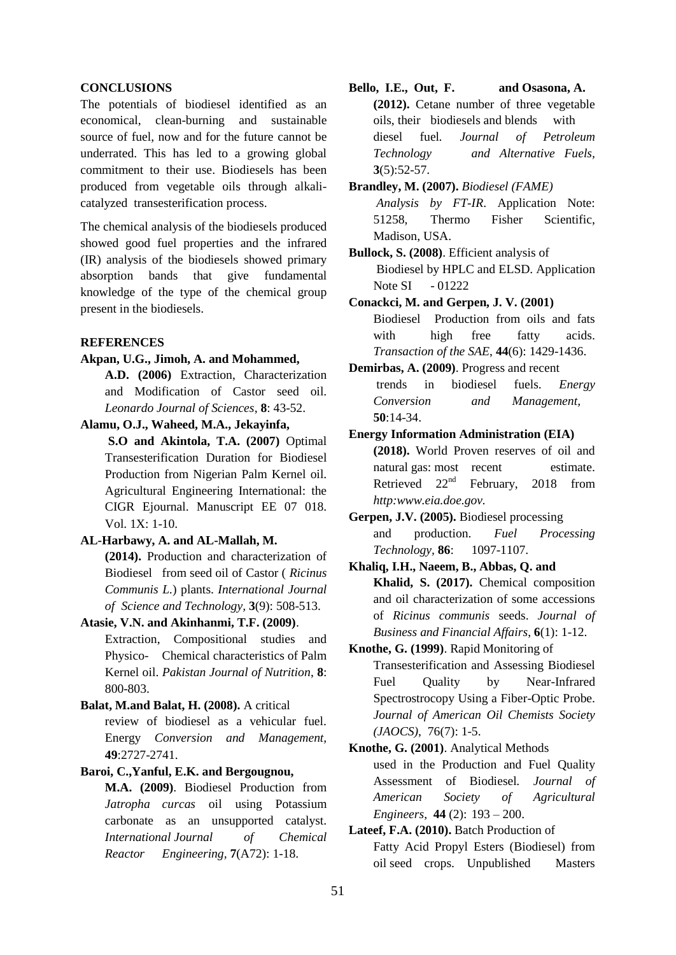#### **CONCLUSIONS**

The potentials of biodiesel identified as an economical, clean-burning and sustainable source of fuel, now and for the future cannot be underrated. This has led to a growing global commitment to their use. Biodiesels has been produced from vegetable oils through alkalicatalyzed transesterification process.

The chemical analysis of the biodiesels produced showed good fuel properties and the infrared (IR) analysis of the biodiesels showed primary absorption bands that give fundamental knowledge of the type of the chemical group present in the biodiesels.

### **REFERENCES**

#### **Akpan, U.G., Jimoh, A. and Mohammed,**

**A.D. (2006)** Extraction, Characterization and Modification of Castor seed oil. *Leonardo Journal of Sciences*, **8**: 43-52.

### **Alamu, O.J., Waheed, M.A., Jekayinfa,**

**S.O and Akintola, T.A. (2007)** Optimal Transesterification Duration for Biodiesel Production from Nigerian Palm Kernel oil. Agricultural Engineering International: the CIGR Ejournal. Manuscript EE 07 018. Vol. 1X: 1-10.

## **AL-Harbawy, A. and AL-Mallah, M.**

**(2014).** Production and characterization of Biodiesel from seed oil of Castor ( *Ricinus Communis L.*) plants. *International Journal of Science and Technology,* **3**(9): 508-513.

## **Atasie, V.N. and Akinhanmi, T.F. (2009)**.

Extraction, Compositional studies and Physico- Chemical characteristics of Palm Kernel oil. *Pakistan Journal of Nutrition*, **8**: 800-803.

## **Balat, M.and Balat, H. (2008).** A critical review of biodiesel as a vehicular fuel. Energy *Conversion and Management,* **49**:2727-2741.

#### **Baroi, C.,Yanful, E.K. and Bergougnou,**

**M.A. (2009)**. Biodiesel Production from *Jatropha curcas* oil using Potassium carbonate as an unsupported catalyst. *International Journal of Chemical Reactor Engineering,* **7**(A72): 1-18.

- **Bello, I.E., Out, F. and Osasona, A. (2012).** Cetane number of three vegetable oils, their biodiesels and blends with diesel fuel*. Journal of Petroleum Technology and Alternative Fuels,* **3**(5):52-57.
- **Brandley, M. (2007).** *Biodiesel (FAME) Analysis by FT-IR*. Application Note: 51258, Thermo Fisher Scientific, Madison, USA.

**Bullock, S. (2008)**. Efficient analysis of Biodiesel by HPLC and ELSD. Application Note SI - 01222

- **Conackci, M. and Gerpen, J. V. (2001)** Biodiesel Production from oils and fats with high free fatty acids. *Transaction of the SAE*, **44**(6): 1429-1436.
- **Demirbas, A. (2009)**. Progress and recent trends in biodiesel fuels. *Energy Conversion and Management,* **50**:14-34.

#### **Energy Information Administration (EIA)**

**(2018).** World Proven reserves of oil and natural gas: most recent estimate. Retrieved  $22<sup>nd</sup>$  February, 2018 from *http:www.eia.doe.gov.*

- **Gerpen, J.V. (2005).** Biodiesel processing and production. *Fuel Processing Technology,* **86**: 1097-1107.
- **Khaliq, I.H., Naeem, B., Abbas, Q. and Khalid, S. (2017).** Chemical composition and oil characterization of some accessions of *Ricinus communis* seeds. *Journal of Business and Financial Affairs*, **6**(1): 1-12.
- **Knothe, G. (1999)**. Rapid Monitoring of Transesterification and Assessing Biodiesel Fuel Quality by Near-Infrared Spectrostrocopy Using a Fiber-Optic Probe. *Journal of American Oil Chemists Society (JAOCS)*, 76(7): 1-5.

# **Knothe, G. (2001)**. Analytical Methods used in the Production and Fuel Quality Assessment of Biodiesel*. Journal of American Society of Agricultural Engineers*, **44** (2): 193 – 200.

## **Lateef, F.A. (2010).** Batch Production of Fatty Acid Propyl Esters (Biodiesel) from oil seed crops. Unpublished Masters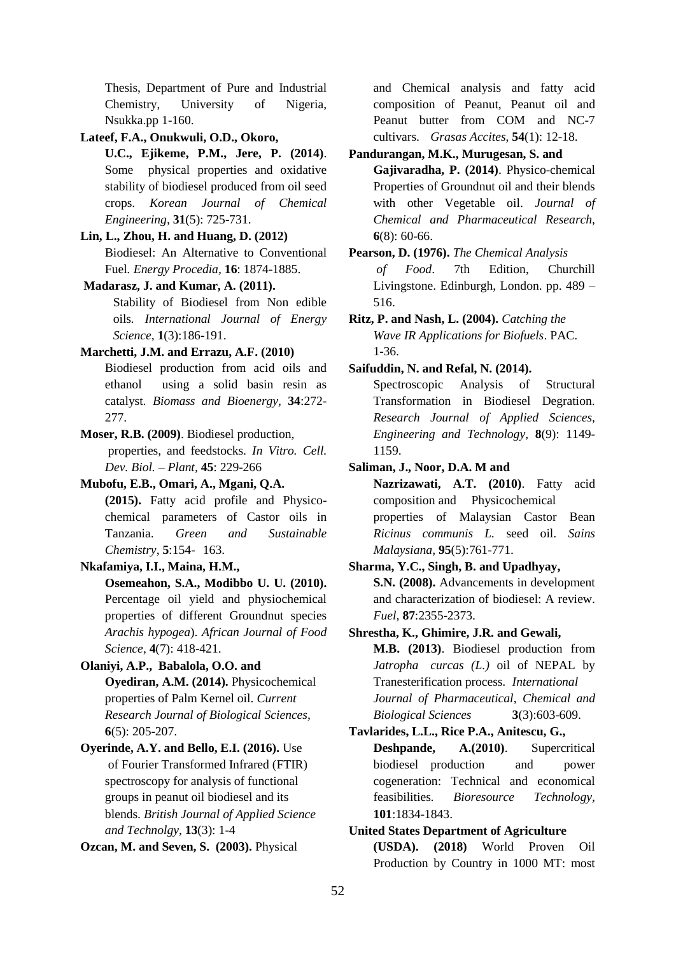Thesis, Department of Pure and Industrial Chemistry, University of Nigeria, Nsukka.pp 1-160.

**Lateef, F.A., Onukwuli, O.D., Okoro,**

- **U.C., Ejikeme, P.M., Jere, P. (2014)**. Some physical properties and oxidative stability of biodiesel produced from oil seed crops. *Korean Journal of Chemical Engineering,* **31**(5): 725-731.
- **Lin, L., Zhou, H. and Huang, D. (2012)** Biodiesel: An Alternative to Conventional Fuel*. Energy Procedia,* **16**: 1874-1885.
- **Madarasz, J. and Kumar, A. (2011).**

Stability of Biodiesel from Non edible oils*. International Journal of Energy Science,* **1**(3):186-191.

### **Marchetti, J.M. and Errazu, A.F. (2010)**

Biodiesel production from acid oils and ethanol using a solid basin resin as catalyst*. Biomass and Bioenergy,* **34**:272- 277.

# **Moser, R.B. (2009)**. Biodiesel production, properties, and feedstocks. *In Vitro. Cell.*

*Dev. Biol. – Plant,* **45**: 229-266

# **Mubofu, E.B., Omari, A., Mgani, Q.A.**

**(2015).** Fatty acid profile and Physicochemical parameters of Castor oils in Tanzania. *Green and Sustainable Chemistry*, **5**:154- 163.

### **Nkafamiya, I.I., Maina, H.M.,**

**Osemeahon, S.A., Modibbo U. U. (2010).** Percentage oil yield and physiochemical properties of different Groundnut species *Arachis hypogea*). *African Journal of Food Science*, **4**(7): 418-421.

# **Olaniyi, A.P., Babalola, O.O. and Oyediran, A.M. (2014).** Physicochemical properties of Palm Kernel oil. *Current Research Journal of Biological Sciences,* **6**(5): 205-207.

**Oyerinde, A.Y. and Bello, E.I. (2016).** Use of Fourier Transformed Infrared (FTIR) spectroscopy for analysis of functional groups in peanut oil biodiesel and its blends. *British Journal of Applied Science and Technolgy*, **13**(3): 1-4

**Ozcan, M. and Seven, S. (2003).** Physical

and Chemical analysis and fatty acid composition of Peanut, Peanut oil and Peanut butter from COM and NC-7 cultivars. *Grasas Accites*, **54**(1): 12-18.

#### **Pandurangan, M.K., Murugesan, S. and**

**Gajivaradha, P. (2014)**. Physico-chemical Properties of Groundnut oil and their blends with other Vegetable oil. *Journal of Chemical and Pharmaceutical Research*, **6**(8): 60-66.

## **Pearson, D. (1976).** *The Chemical Analysis of Food*. 7th Edition, Churchill Livingstone. Edinburgh, London. pp. 489 – 516.

**Ritz, P. and Nash, L. (2004).** *Catching the Wave IR Applications for Biofuels*. PAC. 1-36.

### **Saifuddin, N. and Refal, N. (2014).**

Spectroscopic Analysis of Structural Transformation in Biodiesel Degration. *Research Journal of Applied Sciences, Engineering and Technology*, **8**(9): 1149- 1159.

### **Saliman, J., Noor, D.A. M and**

**Nazrizawati, A.T. (2010)**. Fatty acid composition and Physicochemical properties of Malaysian Castor Bean *Ricinus communis L.* seed oil. *Sains Malaysiana*, **95**(5):761-771.

## **Sharma, Y.C., Singh, B. and Upadhyay,**

**S.N. (2008).** Advancements in development and characterization of biodiesel: A review. *Fuel,* **87**:2355-2373.

### **Shrestha, K., Ghimire, J.R. and Gewali,**

**M.B. (2013)**. Biodiesel production from *Jatropha curcas (L.)* oil of NEPAL by Tranesterification process. *International Journal of Pharmaceutical*, *Chemical and Biological Sciences* **3**(3):603-609.

# **Tavlarides, L.L., Rice P.A., Anitescu, G.,**

**Deshpande, A.(2010)**. Supercritical biodiesel production and power cogeneration: Technical and economical feasibilities*. Bioresource Technology,* **101**:1834-1843.

Production by Country in 1000 MT: most

### **United States Department of Agriculture (USDA). (2018)** World Proven Oil